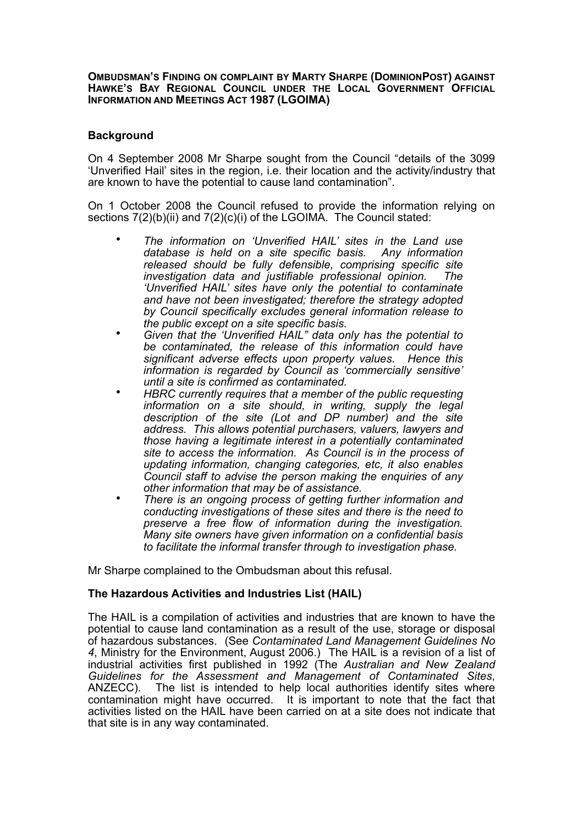**OMBUDSMAN'S FINDING ON COMPLAINT BY MARTY SHARPE (DOMINIONPOST) AGAINST HAWKE'S BAY REGIONAL COUNCIL UNDER THE LOCAL GOVERNMENT OFFICIAL INFORMATION AND MEETINGS ACT 1987 (LGOIMA)**

# **Background**

On 4 September 2008 Mr Sharpe sought from the Council "details of the 3099 'Unverified Hail' sites in the region, i.e. their location and the activity/industry that are known to have the potential to cause land contamination".

On 1 October 2008 the Council refused to provide the information relying on sections 7(2)(b)(ii) and 7(2)(c)(i) of the LGOIMA. The Council stated:

- *The information on 'Unverified HAIL' sites in the Land use database is held on a site specific basis. Any information released should be fully defensible, comprising specific site investigation data and justifiable professional opinion. The 'Unverified HAIL' sites have only the potential to contaminate and have not been investigated; therefore the strategy adopted by Council specifically excludes general information release to the public except on a site specific basis.*
- *Given that the 'Unverified HAIL" data only has the potential to be contaminated, the release of this information could have significant adverse effects upon property values. Hence this information is regarded by Council as 'commercially sensitive' until a site is confirmed as contaminated.*
- *HBRC currently requires that a member of the public requesting*  information on a site should, in writing, supply the legal *description of the site (Lot and DP number) and the site address. This allows potential purchasers, valuers, lawyers and those having a legitimate interest in a potentially contaminated site to access the information. As Council is in the process of updating information, changing categories, etc, it also enables Council staff to advise the person making the enquiries of any other information that may be of assistance.*
- *There is an ongoing process of getting further information and conducting investigations of these sites and there is the need to preserve a free flow of information during the investigation. Many site owners have given information on a confidential basis to facilitate the informal transfer through to investigation phase.*

Mr Sharpe complained to the Ombudsman about this refusal.

## **The Hazardous Activities and Industries List (HAIL)**

The HAIL is a compilation of activities and industries that are known to have the potential to cause land contamination as a result of the use, storage or disposal of hazardous substances. (See *Contaminated Land Management Guidelines No 4*, Ministry for the Environment, August 2006.) The HAIL is a revision of a list of industrial activities first published in 1992 (The *Australian and New Zealand Guidelines for the Assessment and Management of Contaminated Sites*, ANZECC). The list is intended to help local authorities identify sites where contamination might have occurred. It is important to note that the fact that activities listed on the HAIL have been carried on at a site does not indicate that that site is in any way contaminated.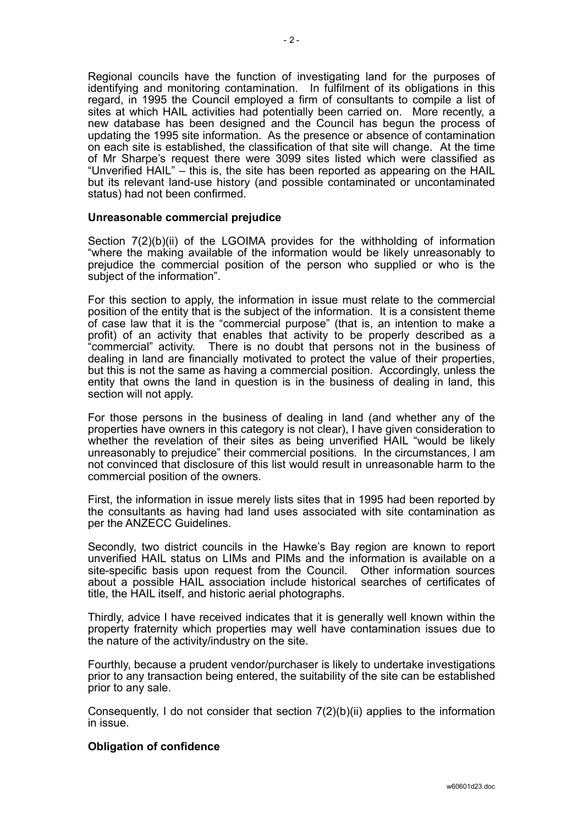Regional councils have the function of investigating land for the purposes of identifying and monitoring contamination. In fulfilment of its obligations in this regard, in 1995 the Council employed a firm of consultants to compile a list of sites at which HAIL activities had potentially been carried on. More recently, a new database has been designed and the Council has begun the process of updating the 1995 site information. As the presence or absence of contamination on each site is established, the classification of that site will change. At the time of Mr Sharpe's request there were 3099 sites listed which were classified as "Unverified HAIL" – this is, the site has been reported as appearing on the HAIL but its relevant land-use history (and possible contaminated or uncontaminated status) had not been confirmed.

#### **Unreasonable commercial prejudice**

Section 7(2)(b)(ii) of the LGOIMA provides for the withholding of information "where the making available of the information would be likely unreasonably to prejudice the commercial position of the person who supplied or who is the subject of the information".

For this section to apply, the information in issue must relate to the commercial position of the entity that is the subject of the information. It is a consistent theme of case law that it is the "commercial purpose" (that is, an intention to make a profit) of an activity that enables that activity to be properly described as a "commercial" activity. There is no doubt that persons not in the business of dealing in land are financially motivated to protect the value of their properties, but this is not the same as having a commercial position. Accordingly, unless the entity that owns the land in question is in the business of dealing in land, this section will not apply.

For those persons in the business of dealing in land (and whether any of the properties have owners in this category is not clear), I have given consideration to whether the revelation of their sites as being unverified HAIL "would be likely unreasonably to prejudice" their commercial positions*.* In the circumstances, I am not convinced that disclosure of this list would result in unreasonable harm to the commercial position of the owners.

First, the information in issue merely lists sites that in 1995 had been reported by the consultants as having had land uses associated with site contamination as per the ANZECC Guidelines.

Secondly, two district councils in the Hawke's Bay region are known to report unverified HAIL status on LIMs and PIMs and the information is available on a site-specific basis upon request from the Council. Other information sources about a possible HAIL association include historical searches of certificates of title, the HAIL itself, and historic aerial photographs.

Thirdly, advice I have received indicates that it is generally well known within the property fraternity which properties may well have contamination issues due to the nature of the activity/industry on the site.

Fourthly, because a prudent vendor/purchaser is likely to undertake investigations prior to any transaction being entered, the suitability of the site can be established prior to any sale.

Consequently, I do not consider that section 7(2)(b)(ii) applies to the information in issue.

## **Obligation of confidence**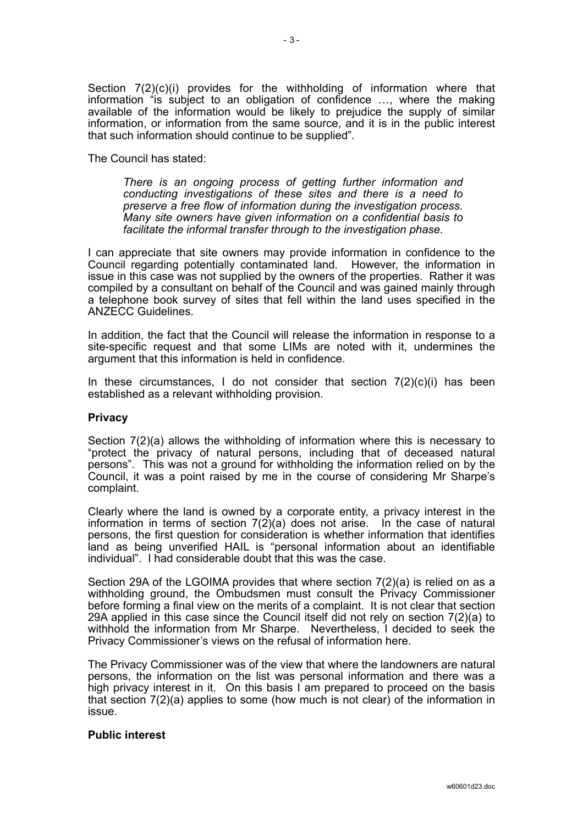Section 7(2)(c)(i) provides for the withholding of information where that information "is subject to an obligation of confidence ..., where the making available of the information would be likely to prejudice the supply of similar information, or information from the same source, and it is in the public interest that such information should continue to be supplied"*.* 

The Council has stated:

*There is an ongoing process of getting further information and conducting investigations of these sites and there is a need to preserve a free flow of information during the investigation process. Many site owners have given information on a confidential basis to facilitate the informal transfer through to the investigation phase.*

I can appreciate that site owners may provide information in confidence to the Council regarding potentially contaminated land. However, the information in issue in this case was not supplied by the owners of the properties. Rather it was compiled by a consultant on behalf of the Council and was gained mainly through a telephone book survey of sites that fell within the land uses specified in the ANZECC Guidelines.

In addition, the fact that the Council will release the information in response to a site-specific request and that some LIMs are noted with it, undermines the argument that this information is held in confidence.

In these circumstances, I do not consider that section  $7(2)(c)(i)$  has been established as a relevant withholding provision.

### **Privacy**

Section 7(2)(a) allows the withholding of information where this is necessary to "protect the privacy of natural persons, including that of deceased natural persons". This was not a ground for withholding the information relied on by the Council, it was a point raised by me in the course of considering Mr Sharpe's complaint.

Clearly where the land is owned by a corporate entity, a privacy interest in the information in terms of section 7(2)(a) does not arise. In the case of natural persons, the first question for consideration is whether information that identifies land as being unverified HAIL is "personal information about an identifiable individual". I had considerable doubt that this was the case.

Section 29A of the LGOIMA provides that where section 7(2)(a) is relied on as a withholding ground, the Ombudsmen must consult the Privacy Commissioner before forming a final view on the merits of a complaint. It is not clear that section 29A applied in this case since the Council itself did not rely on section 7(2)(a) to withhold the information from Mr Sharpe. Nevertheless, I decided to seek the Privacy Commissioner's views on the refusal of information here.

The Privacy Commissioner was of the view that where the landowners are natural persons, the information on the list was personal information and there was a high privacy interest in it. On this basis I am prepared to proceed on the basis that section 7(2)(a) applies to some (how much is not clear) of the information in issue.

#### **Public interest**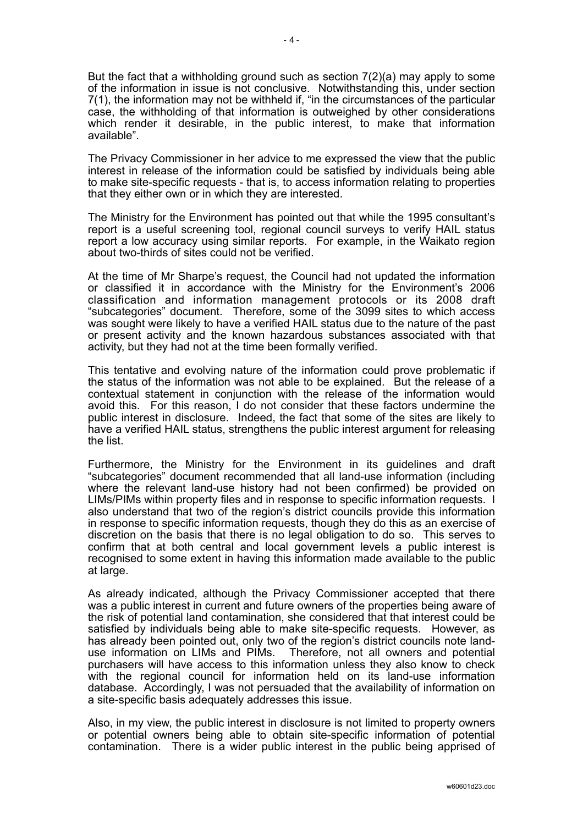But the fact that a withholding ground such as section 7(2)(a) may apply to some of the information in issue is not conclusive. Notwithstanding this, under section 7(1), the information may not be withheld if, "in the circumstances of the particular case, the withholding of that information is outweighed by other considerations which render it desirable, in the public interest, to make that information available".

The Privacy Commissioner in her advice to me expressed the view that the public interest in release of the information could be satisfied by individuals being able to make site-specific requests - that is, to access information relating to properties that they either own or in which they are interested.

The Ministry for the Environment has pointed out that while the 1995 consultant's report is a useful screening tool, regional council surveys to verify HAIL status report a low accuracy using similar reports. For example, in the Waikato region about two-thirds of sites could not be verified.

At the time of Mr Sharpe's request, the Council had not updated the information or classified it in accordance with the Ministry for the Environment's 2006 classification and information management protocols or its 2008 draft "subcategories" document. Therefore, some of the 3099 sites to which access was sought were likely to have a verified HAIL status due to the nature of the past or present activity and the known hazardous substances associated with that activity, but they had not at the time been formally verified.

This tentative and evolving nature of the information could prove problematic if the status of the information was not able to be explained. But the release of a contextual statement in conjunction with the release of the information would avoid this. For this reason, I do not consider that these factors undermine the public interest in disclosure. Indeed, the fact that some of the sites are likely to have a verified HAIL status, strengthens the public interest argument for releasing the list.

Furthermore, the Ministry for the Environment in its guidelines and draft "subcategories" document recommended that all land-use information (including where the relevant land-use history had not been confirmed) be provided on LIMs/PIMs within property files and in response to specific information requests. I also understand that two of the region's district councils provide this information in response to specific information requests, though they do this as an exercise of discretion on the basis that there is no legal obligation to do so. This serves to confirm that at both central and local government levels a public interest is recognised to some extent in having this information made available to the public at large.

As already indicated, although the Privacy Commissioner accepted that there was a public interest in current and future owners of the properties being aware of the risk of potential land contamination, she considered that that interest could be satisfied by individuals being able to make site-specific requests. However, as has already been pointed out, only two of the region's district councils note landuse information on LIMs and PIMs. Therefore, not all owners and potential purchasers will have access to this information unless they also know to check with the regional council for information held on its land-use information database. Accordingly, I was not persuaded that the availability of information on a site-specific basis adequately addresses this issue.

Also, in my view, the public interest in disclosure is not limited to property owners or potential owners being able to obtain site-specific information of potential contamination. There is a wider public interest in the public being apprised of